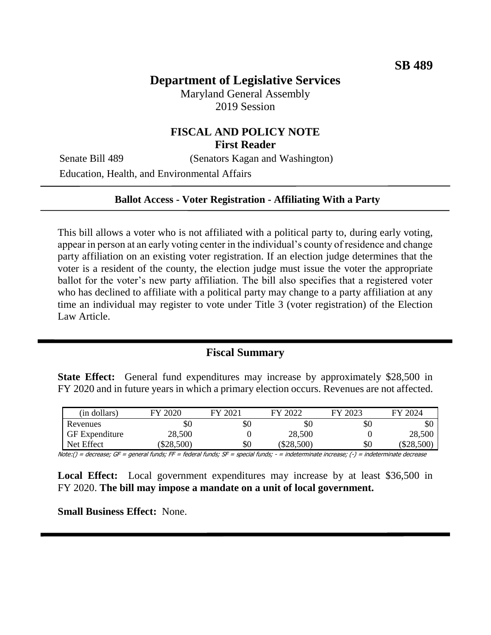# **Department of Legislative Services**

Maryland General Assembly 2019 Session

## **FISCAL AND POLICY NOTE First Reader**

Senate Bill 489 (Senators Kagan and Washington)

Education, Health, and Environmental Affairs

#### **Ballot Access - Voter Registration - Affiliating With a Party**

This bill allows a voter who is not affiliated with a political party to, during early voting, appear in person at an early voting center in the individual's county of residence and change party affiliation on an existing voter registration. If an election judge determines that the voter is a resident of the county, the election judge must issue the voter the appropriate ballot for the voter's new party affiliation. The bill also specifies that a registered voter who has declined to affiliate with a political party may change to a party affiliation at any time an individual may register to vote under Title 3 (voter registration) of the Election Law Article.

#### **Fiscal Summary**

**State Effect:** General fund expenditures may increase by approximately \$28,500 in FY 2020 and in future years in which a primary election occurs. Revenues are not affected.

| (in dollars)          | FY 2020  | FY 2021 | FY 2022  | FY 2023 | FY 2024  |
|-----------------------|----------|---------|----------|---------|----------|
| Revenues              | \$0      | \$0     | \$0      | \$0     | \$0      |
| <b>GF</b> Expenditure | 28,500   |         | 28,500   |         | 28,500   |
| Net Effect            | \$28,500 | \$0     | \$28,500 | \$0     | \$28,500 |

Note:() = decrease; GF = general funds; FF = federal funds; SF = special funds; - = indeterminate increase; (-) = indeterminate decrease

**Local Effect:** Local government expenditures may increase by at least \$36,500 in FY 2020. **The bill may impose a mandate on a unit of local government.**

**Small Business Effect:** None.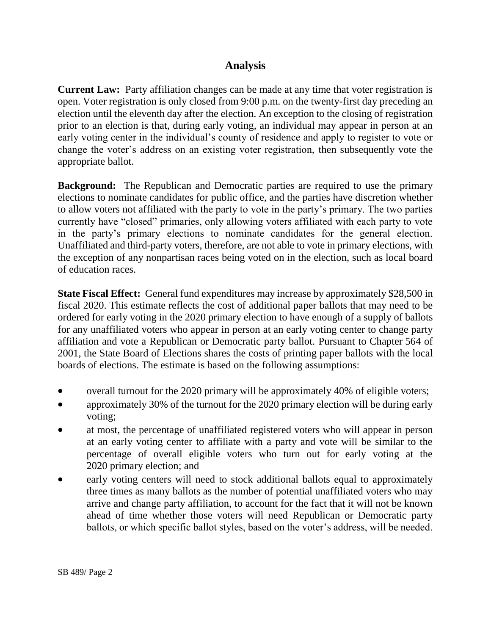# **Analysis**

**Current Law:** Party affiliation changes can be made at any time that voter registration is open. Voter registration is only closed from 9:00 p.m. on the twenty-first day preceding an election until the eleventh day after the election. An exception to the closing of registration prior to an election is that, during early voting, an individual may appear in person at an early voting center in the individual's county of residence and apply to register to vote or change the voter's address on an existing voter registration, then subsequently vote the appropriate ballot.

**Background:** The Republican and Democratic parties are required to use the primary elections to nominate candidates for public office, and the parties have discretion whether to allow voters not affiliated with the party to vote in the party's primary. The two parties currently have "closed" primaries, only allowing voters affiliated with each party to vote in the party's primary elections to nominate candidates for the general election. Unaffiliated and third-party voters, therefore, are not able to vote in primary elections, with the exception of any nonpartisan races being voted on in the election, such as local board of education races.

**State Fiscal Effect:** General fund expenditures may increase by approximately \$28,500 in fiscal 2020. This estimate reflects the cost of additional paper ballots that may need to be ordered for early voting in the 2020 primary election to have enough of a supply of ballots for any unaffiliated voters who appear in person at an early voting center to change party affiliation and vote a Republican or Democratic party ballot. Pursuant to Chapter 564 of 2001, the State Board of Elections shares the costs of printing paper ballots with the local boards of elections. The estimate is based on the following assumptions:

- overall turnout for the 2020 primary will be approximately 40% of eligible voters;
- approximately 30% of the turnout for the 2020 primary election will be during early voting;
- at most, the percentage of unaffiliated registered voters who will appear in person at an early voting center to affiliate with a party and vote will be similar to the percentage of overall eligible voters who turn out for early voting at the 2020 primary election; and
- early voting centers will need to stock additional ballots equal to approximately three times as many ballots as the number of potential unaffiliated voters who may arrive and change party affiliation, to account for the fact that it will not be known ahead of time whether those voters will need Republican or Democratic party ballots, or which specific ballot styles, based on the voter's address, will be needed.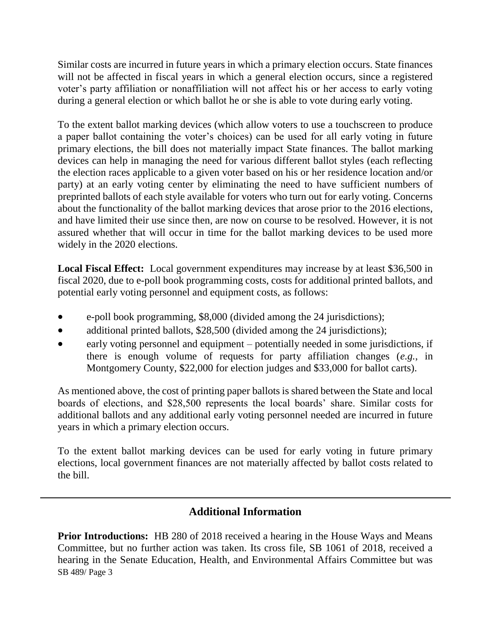Similar costs are incurred in future years in which a primary election occurs. State finances will not be affected in fiscal years in which a general election occurs, since a registered voter's party affiliation or nonaffiliation will not affect his or her access to early voting during a general election or which ballot he or she is able to vote during early voting.

To the extent ballot marking devices (which allow voters to use a touchscreen to produce a paper ballot containing the voter's choices) can be used for all early voting in future primary elections, the bill does not materially impact State finances. The ballot marking devices can help in managing the need for various different ballot styles (each reflecting the election races applicable to a given voter based on his or her residence location and/or party) at an early voting center by eliminating the need to have sufficient numbers of preprinted ballots of each style available for voters who turn out for early voting. Concerns about the functionality of the ballot marking devices that arose prior to the 2016 elections, and have limited their use since then, are now on course to be resolved. However, it is not assured whether that will occur in time for the ballot marking devices to be used more widely in the 2020 elections.

**Local Fiscal Effect:** Local government expenditures may increase by at least \$36,500 in fiscal 2020, due to e-poll book programming costs, costs for additional printed ballots, and potential early voting personnel and equipment costs, as follows:

- e-poll book programming, \$8,000 (divided among the 24 jurisdictions);
- additional printed ballots, \$28,500 (divided among the 24 jurisdictions);
- early voting personnel and equipment potentially needed in some jurisdictions, if there is enough volume of requests for party affiliation changes (*e.g.*, in Montgomery County, \$22,000 for election judges and \$33,000 for ballot carts).

As mentioned above, the cost of printing paper ballots is shared between the State and local boards of elections, and \$28,500 represents the local boards' share. Similar costs for additional ballots and any additional early voting personnel needed are incurred in future years in which a primary election occurs.

To the extent ballot marking devices can be used for early voting in future primary elections, local government finances are not materially affected by ballot costs related to the bill.

## **Additional Information**

SB 489/ Page 3 **Prior Introductions:** HB 280 of 2018 received a hearing in the House Ways and Means Committee, but no further action was taken. Its cross file, SB 1061 of 2018, received a hearing in the Senate Education, Health, and Environmental Affairs Committee but was